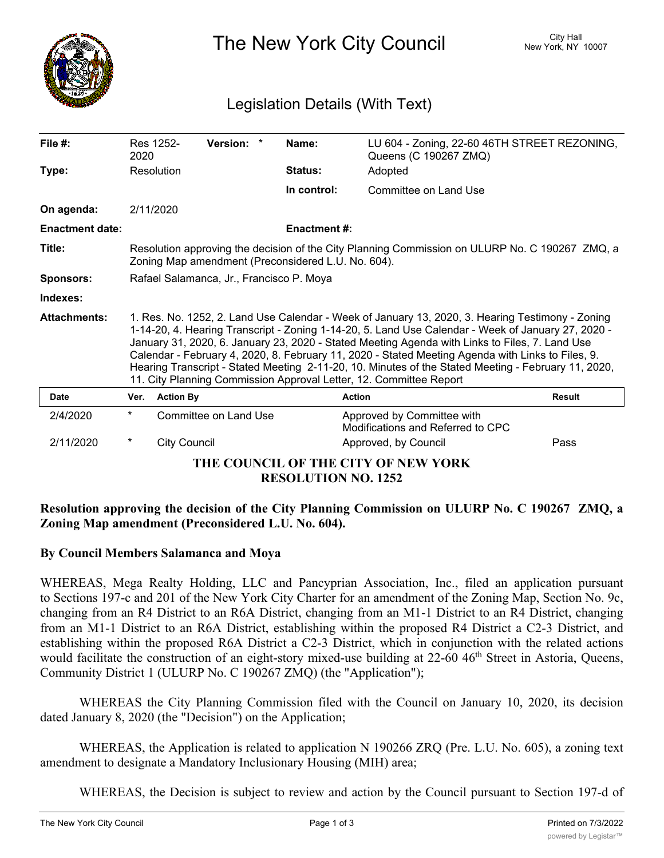

The New York City Council New York, NY 10007

# Legislation Details (With Text)

| File #:                             | 2020                                                                                                                                                                                                                                                                                                                                                                                                                                                                                                                                                                                       | Res 1252-           | Version: *            | Name:               | LU 604 - Zoning, 22-60 46TH STREET REZONING,<br>Queens (C 190267 ZMQ) |        |
|-------------------------------------|--------------------------------------------------------------------------------------------------------------------------------------------------------------------------------------------------------------------------------------------------------------------------------------------------------------------------------------------------------------------------------------------------------------------------------------------------------------------------------------------------------------------------------------------------------------------------------------------|---------------------|-----------------------|---------------------|-----------------------------------------------------------------------|--------|
| Type:                               |                                                                                                                                                                                                                                                                                                                                                                                                                                                                                                                                                                                            | Resolution          |                       | Status:             | Adopted                                                               |        |
|                                     |                                                                                                                                                                                                                                                                                                                                                                                                                                                                                                                                                                                            |                     |                       | In control:         | Committee on Land Use                                                 |        |
| On agenda:                          | 2/11/2020                                                                                                                                                                                                                                                                                                                                                                                                                                                                                                                                                                                  |                     |                       |                     |                                                                       |        |
| <b>Enactment date:</b>              |                                                                                                                                                                                                                                                                                                                                                                                                                                                                                                                                                                                            |                     |                       | <b>Enactment #:</b> |                                                                       |        |
| Title:                              | Resolution approving the decision of the City Planning Commission on ULURP No. C 190267 ZMQ, a<br>Zoning Map amendment (Preconsidered L.U. No. 604).                                                                                                                                                                                                                                                                                                                                                                                                                                       |                     |                       |                     |                                                                       |        |
| <b>Sponsors:</b>                    | Rafael Salamanca, Jr., Francisco P. Moya                                                                                                                                                                                                                                                                                                                                                                                                                                                                                                                                                   |                     |                       |                     |                                                                       |        |
| Indexes:                            |                                                                                                                                                                                                                                                                                                                                                                                                                                                                                                                                                                                            |                     |                       |                     |                                                                       |        |
| <b>Attachments:</b>                 | 1. Res. No. 1252, 2. Land Use Calendar - Week of January 13, 2020, 3. Hearing Testimony - Zoning<br>1-14-20, 4. Hearing Transcript - Zoning 1-14-20, 5. Land Use Calendar - Week of January 27, 2020 -<br>January 31, 2020, 6. January 23, 2020 - Stated Meeting Agenda with Links to Files, 7. Land Use<br>Calendar - February 4, 2020, 8. February 11, 2020 - Stated Meeting Agenda with Links to Files, 9.<br>Hearing Transcript - Stated Meeting 2-11-20, 10. Minutes of the Stated Meeting - February 11, 2020,<br>11. City Planning Commission Approval Letter, 12. Committee Report |                     |                       |                     |                                                                       |        |
| Date                                | Ver.                                                                                                                                                                                                                                                                                                                                                                                                                                                                                                                                                                                       | <b>Action By</b>    |                       |                     | <b>Action</b>                                                         | Result |
| 2/4/2020                            | $^{\star}$                                                                                                                                                                                                                                                                                                                                                                                                                                                                                                                                                                                 |                     | Committee on Land Use |                     | Approved by Committee with<br>Modifications and Referred to CPC       |        |
| 2/11/2020                           | *                                                                                                                                                                                                                                                                                                                                                                                                                                                                                                                                                                                          | <b>City Council</b> |                       |                     | Approved, by Council                                                  | Pass   |
| THE COUNCIL OF THE CITY OF NEW YORK |                                                                                                                                                                                                                                                                                                                                                                                                                                                                                                                                                                                            |                     |                       |                     |                                                                       |        |

**RESOLUTION NO. 1252**

## **Resolution approving the decision of the City Planning Commission on ULURP No. C 190267 ZMQ, a Zoning Map amendment (Preconsidered L.U. No. 604).**

## **By Council Members Salamanca and Moya**

WHEREAS, Mega Realty Holding, LLC and Pancyprian Association, Inc., filed an application pursuant to Sections 197-c and 201 of the New York City Charter for an amendment of the Zoning Map, Section No. 9c, changing from an R4 District to an R6A District, changing from an M1-1 District to an R4 District, changing from an M1-1 District to an R6A District, establishing within the proposed R4 District a C2-3 District, and establishing within the proposed R6A District a C2-3 District, which in conjunction with the related actions would facilitate the construction of an eight-story mixed-use building at 22-60 46<sup>th</sup> Street in Astoria, Queens, Community District 1 (ULURP No. C 190267 ZMQ) (the "Application");

WHEREAS the City Planning Commission filed with the Council on January 10, 2020, its decision dated January 8, 2020 (the "Decision") on the Application;

WHEREAS, the Application is related to application N 190266 ZRQ (Pre. L.U. No. 605), a zoning text amendment to designate a Mandatory Inclusionary Housing (MIH) area;

WHEREAS, the Decision is subject to review and action by the Council pursuant to Section 197-d of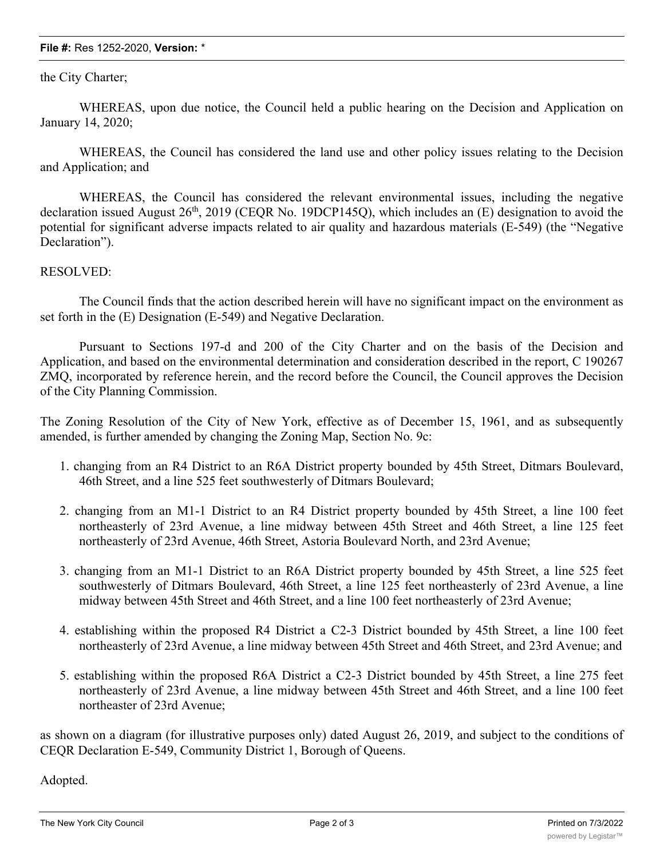#### **File #:** Res 1252-2020, **Version:** \*

### the City Charter;

WHEREAS, upon due notice, the Council held a public hearing on the Decision and Application on January 14, 2020;

WHEREAS, the Council has considered the land use and other policy issues relating to the Decision and Application; and

WHEREAS, the Council has considered the relevant environmental issues, including the negative declaration issued August  $26<sup>th</sup>$ ,  $2019$  (CEQR No. 19DCP145Q), which includes an (E) designation to avoid the potential for significant adverse impacts related to air quality and hazardous materials (E-549) (the "Negative Declaration").

#### RESOLVED:

The Council finds that the action described herein will have no significant impact on the environment as set forth in the (E) Designation (E-549) and Negative Declaration.

Pursuant to Sections 197-d and 200 of the City Charter and on the basis of the Decision and Application, and based on the environmental determination and consideration described in the report, C 190267 ZMQ, incorporated by reference herein, and the record before the Council, the Council approves the Decision of the City Planning Commission.

The Zoning Resolution of the City of New York, effective as of December 15, 1961, and as subsequently amended, is further amended by changing the Zoning Map, Section No. 9c:

- 1. changing from an R4 District to an R6A District property bounded by 45th Street, Ditmars Boulevard, 46th Street, and a line 525 feet southwesterly of Ditmars Boulevard;
- 2. changing from an M1-1 District to an R4 District property bounded by 45th Street, a line 100 feet northeasterly of 23rd Avenue, a line midway between 45th Street and 46th Street, a line 125 feet northeasterly of 23rd Avenue, 46th Street, Astoria Boulevard North, and 23rd Avenue;
- 3. changing from an M1-1 District to an R6A District property bounded by 45th Street, a line 525 feet southwesterly of Ditmars Boulevard, 46th Street, a line 125 feet northeasterly of 23rd Avenue, a line midway between 45th Street and 46th Street, and a line 100 feet northeasterly of 23rd Avenue;
- 4. establishing within the proposed R4 District a C2-3 District bounded by 45th Street, a line 100 feet northeasterly of 23rd Avenue, a line midway between 45th Street and 46th Street, and 23rd Avenue; and
- 5. establishing within the proposed R6A District a C2-3 District bounded by 45th Street, a line 275 feet northeasterly of 23rd Avenue, a line midway between 45th Street and 46th Street, and a line 100 feet northeaster of 23rd Avenue;

as shown on a diagram (for illustrative purposes only) dated August 26, 2019, and subject to the conditions of CEQR Declaration E-549, Community District 1, Borough of Queens.

Adopted.